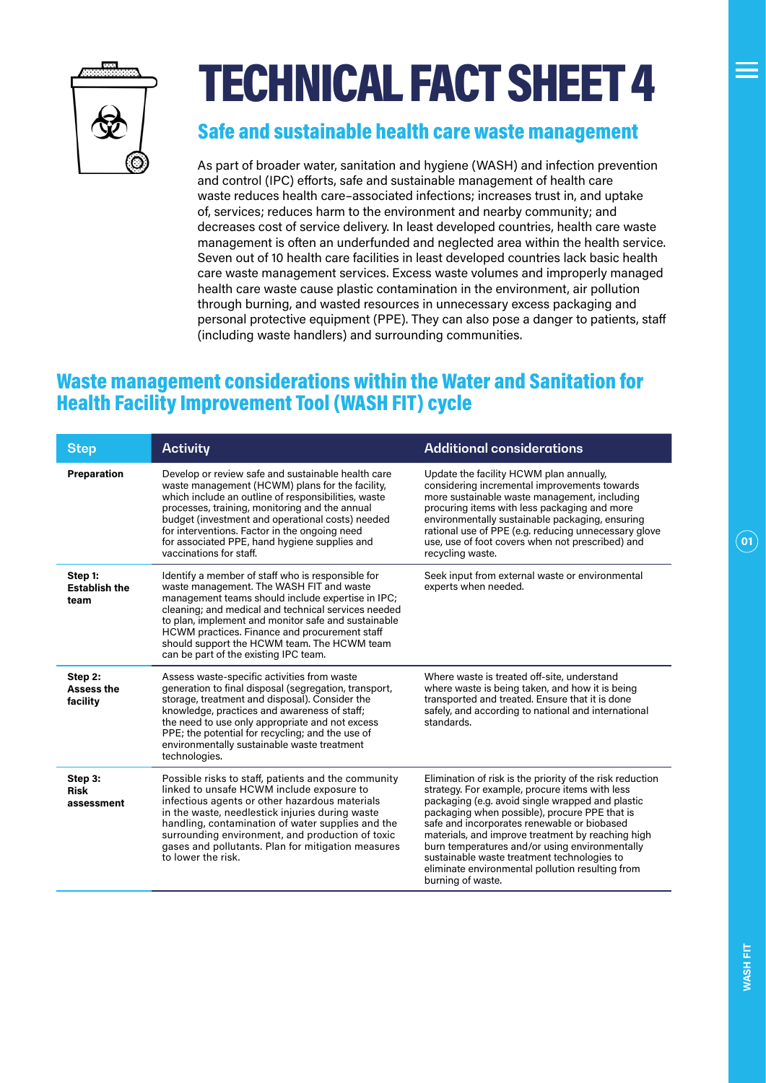

# TECHNICAL FACT SHEET 4

#### Safe and sustainable health care waste management

As part of broader water, sanitation and hygiene (WASH) and infection prevention and control (IPC) efforts, safe and sustainable management of health care waste reduces health care–associated infections; increases trust in, and uptake of, services; reduces harm to the environment and nearby community; and decreases cost of service delivery. In least developed countries, health care waste management is often an underfunded and neglected area within the health service. Seven out of 10 health care facilities in least developed countries lack basic health care waste management services. Excess waste volumes and improperly managed health care waste cause plastic contamination in the environment, air pollution through burning, and wasted resources in unnecessary excess packaging and personal protective equipment (PPE). They can also pose a danger to patients, staff (including waste handlers) and surrounding communities.

### Waste management considerations within the Water and Sanitation for Health Facility Improvement Tool (WASH FIT) cycle

| <b>Step</b>                              | <b>Activity</b>                                                                                                                                                                                                                                                                                                                                                                                           | <b>Additional considerations</b>                                                                                                                                                                                                                                                                                                                                                                                                                                                               |
|------------------------------------------|-----------------------------------------------------------------------------------------------------------------------------------------------------------------------------------------------------------------------------------------------------------------------------------------------------------------------------------------------------------------------------------------------------------|------------------------------------------------------------------------------------------------------------------------------------------------------------------------------------------------------------------------------------------------------------------------------------------------------------------------------------------------------------------------------------------------------------------------------------------------------------------------------------------------|
| Preparation                              | Develop or review safe and sustainable health care<br>waste management (HCWM) plans for the facility,<br>which include an outline of responsibilities, waste<br>processes, training, monitoring and the annual<br>budget (investment and operational costs) needed<br>for interventions. Factor in the ongoing need<br>for associated PPE, hand hygiene supplies and<br>vaccinations for staff.           | Update the facility HCWM plan annually,<br>considering incremental improvements towards<br>more sustainable waste management, including<br>procuring items with less packaging and more<br>environmentally sustainable packaging, ensuring<br>rational use of PPE (e.g. reducing unnecessary glove<br>use, use of foot covers when not prescribed) and<br>recycling waste.                                                                                                                     |
| Step 1:<br><b>Establish the</b><br>team  | Identify a member of staff who is responsible for<br>waste management. The WASH FIT and waste<br>management teams should include expertise in IPC;<br>cleaning; and medical and technical services needed<br>to plan, implement and monitor safe and sustainable<br>HCWM practices. Finance and procurement staff<br>should support the HCWM team. The HCWM team<br>can be part of the existing IPC team. | Seek input from external waste or environmental<br>experts when needed.                                                                                                                                                                                                                                                                                                                                                                                                                        |
| Step 2:<br><b>Assess the</b><br>facility | Assess waste-specific activities from waste<br>generation to final disposal (segregation, transport,<br>storage, treatment and disposal). Consider the<br>knowledge, practices and awareness of staff;<br>the need to use only appropriate and not excess<br>PPE; the potential for recycling; and the use of<br>environmentally sustainable waste treatment<br>technologies.                             | Where waste is treated off-site, understand<br>where waste is being taken, and how it is being<br>transported and treated. Ensure that it is done<br>safely, and according to national and international<br>standards.                                                                                                                                                                                                                                                                         |
| Step 3:<br><b>Risk</b><br>assessment     | Possible risks to staff, patients and the community<br>linked to unsafe HCWM include exposure to<br>infectious agents or other hazardous materials<br>in the waste, needlestick injuries during waste<br>handling, contamination of water supplies and the<br>surrounding environment, and production of toxic<br>gases and pollutants. Plan for mitigation measures<br>to lower the risk.                | Elimination of risk is the priority of the risk reduction<br>strategy. For example, procure items with less<br>packaging (e.g. avoid single wrapped and plastic<br>packaging when possible), procure PPE that is<br>safe and incorporates renewable or biobased<br>materials, and improve treatment by reaching high<br>burn temperatures and/or using environmentally<br>sustainable waste treatment technologies to<br>eliminate environmental pollution resulting from<br>burning of waste. |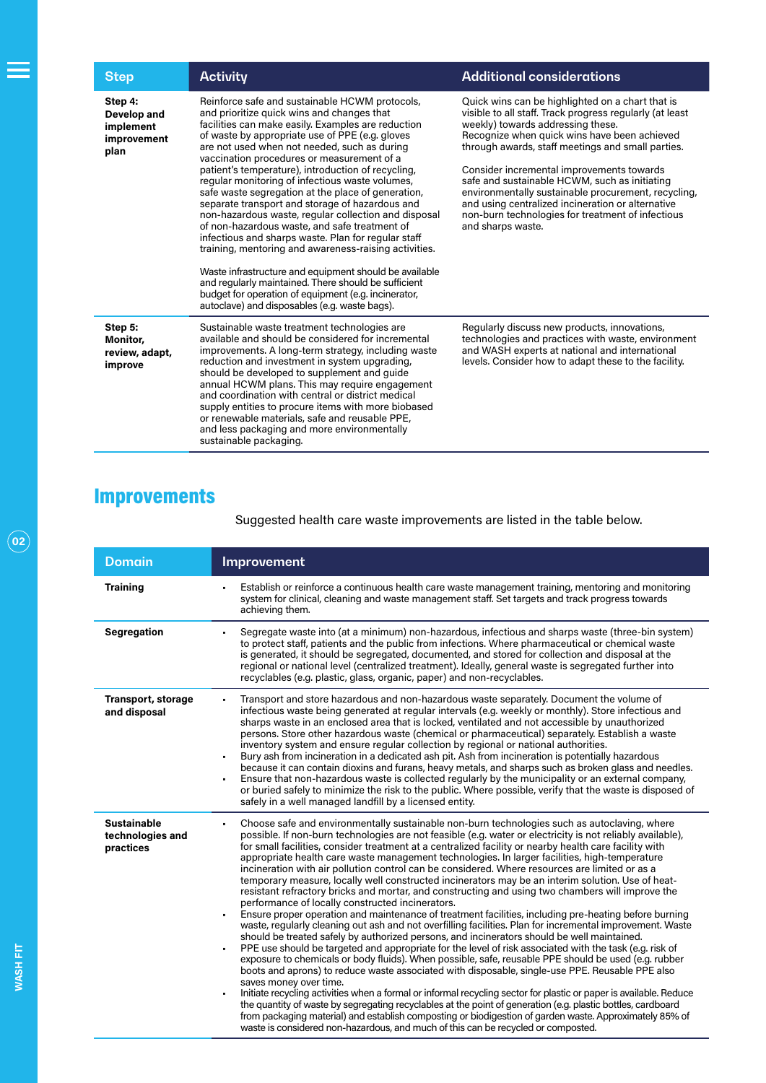| <b>Step</b>                                                | <b>Activity</b>                                                                                                                                                                                                                                                                                                                                                                                                                                                                                                                                                                                                                                                                                                                                                                                                                                                                                                                                                           | <b>Additional considerations</b>                                                                                                                                                                                                                                                                                                                                                                                                                                                                                                           |
|------------------------------------------------------------|---------------------------------------------------------------------------------------------------------------------------------------------------------------------------------------------------------------------------------------------------------------------------------------------------------------------------------------------------------------------------------------------------------------------------------------------------------------------------------------------------------------------------------------------------------------------------------------------------------------------------------------------------------------------------------------------------------------------------------------------------------------------------------------------------------------------------------------------------------------------------------------------------------------------------------------------------------------------------|--------------------------------------------------------------------------------------------------------------------------------------------------------------------------------------------------------------------------------------------------------------------------------------------------------------------------------------------------------------------------------------------------------------------------------------------------------------------------------------------------------------------------------------------|
| Step 4:<br>Develop and<br>implement<br>improvement<br>plan | Reinforce safe and sustainable HCWM protocols,<br>and prioritize quick wins and changes that<br>facilities can make easily. Examples are reduction<br>of waste by appropriate use of PPE (e.g. gloves<br>are not used when not needed, such as during<br>vaccination procedures or measurement of a<br>patient's temperature), introduction of recycling,<br>regular monitoring of infectious waste volumes,<br>safe waste segregation at the place of generation,<br>separate transport and storage of hazardous and<br>non-hazardous waste, regular collection and disposal<br>of non-hazardous waste, and safe treatment of<br>infectious and sharps waste. Plan for regular staff<br>training, mentoring and awareness-raising activities.<br>Waste infrastructure and equipment should be available<br>and regularly maintained. There should be sufficient<br>budget for operation of equipment (e.g. incinerator,<br>autoclave) and disposables (e.g. waste bags). | Quick wins can be highlighted on a chart that is<br>visible to all staff. Track progress regularly (at least<br>weekly) towards addressing these.<br>Recognize when quick wins have been achieved<br>through awards, staff meetings and small parties.<br>Consider incremental improvements towards<br>safe and sustainable HCWM, such as initiating<br>environmentally sustainable procurement, recycling,<br>and using centralized incineration or alternative<br>non-burn technologies for treatment of infectious<br>and sharps waste. |
| Step 5:<br>Monitor,<br>review, adapt,<br>improve           | Sustainable waste treatment technologies are<br>available and should be considered for incremental<br>improvements. A long-term strategy, including waste<br>reduction and investment in system upgrading,<br>should be developed to supplement and guide<br>annual HCWM plans. This may require engagement<br>and coordination with central or district medical<br>supply entities to procure items with more biobased<br>or renewable materials, safe and reusable PPE,<br>and less packaging and more environmentally<br>sustainable packaging.                                                                                                                                                                                                                                                                                                                                                                                                                        | Regularly discuss new products, innovations,<br>technologies and practices with waste, environment<br>and WASH experts at national and international<br>levels. Consider how to adapt these to the facility.                                                                                                                                                                                                                                                                                                                               |

## Improvements

Suggested health care waste improvements are listed in the table below.

| <b>Domain</b>                                       | Improvement                                                                                                                                                                                                                                                                                                                                                                                                                                                                                                                                                                                                                                                                                                                                                                                                                                                                                                                                                                                                                                                                                                                                                                                                                                                                                                                                                                                                                                                                                                                                                                                                                                                                                                                                                                                                                                                                                     |
|-----------------------------------------------------|-------------------------------------------------------------------------------------------------------------------------------------------------------------------------------------------------------------------------------------------------------------------------------------------------------------------------------------------------------------------------------------------------------------------------------------------------------------------------------------------------------------------------------------------------------------------------------------------------------------------------------------------------------------------------------------------------------------------------------------------------------------------------------------------------------------------------------------------------------------------------------------------------------------------------------------------------------------------------------------------------------------------------------------------------------------------------------------------------------------------------------------------------------------------------------------------------------------------------------------------------------------------------------------------------------------------------------------------------------------------------------------------------------------------------------------------------------------------------------------------------------------------------------------------------------------------------------------------------------------------------------------------------------------------------------------------------------------------------------------------------------------------------------------------------------------------------------------------------------------------------------------------------|
| <b>Training</b>                                     | Establish or reinforce a continuous health care waste management training, mentoring and monitoring<br>system for clinical, cleaning and waste management staff. Set targets and track progress towards<br>achieving them.                                                                                                                                                                                                                                                                                                                                                                                                                                                                                                                                                                                                                                                                                                                                                                                                                                                                                                                                                                                                                                                                                                                                                                                                                                                                                                                                                                                                                                                                                                                                                                                                                                                                      |
| Segregation                                         | Segregate waste into (at a minimum) non-hazardous, infectious and sharps waste (three-bin system)<br>to protect staff, patients and the public from infections. Where pharmaceutical or chemical waste<br>is generated, it should be segregated, documented, and stored for collection and disposal at the<br>regional or national level (centralized treatment). Ideally, general waste is segregated further into<br>recyclables (e.g. plastic, glass, organic, paper) and non-recyclables.                                                                                                                                                                                                                                                                                                                                                                                                                                                                                                                                                                                                                                                                                                                                                                                                                                                                                                                                                                                                                                                                                                                                                                                                                                                                                                                                                                                                   |
| <b>Transport, storage</b><br>and disposal           | Transport and store hazardous and non-hazardous waste separately. Document the volume of<br>infectious waste being generated at regular intervals (e.g. weekly or monthly). Store infectious and<br>sharps waste in an enclosed area that is locked, ventilated and not accessible by unauthorized<br>persons. Store other hazardous waste (chemical or pharmaceutical) separately. Establish a waste<br>inventory system and ensure regular collection by regional or national authorities.<br>Bury ash from incineration in a dedicated ash pit. Ash from incineration is potentially hazardous<br>because it can contain dioxins and furans, heavy metals, and sharps such as broken glass and needles.<br>Ensure that non-hazardous waste is collected regularly by the municipality or an external company,<br>or buried safely to minimize the risk to the public. Where possible, verify that the waste is disposed of<br>safely in a well managed landfill by a licensed entity.                                                                                                                                                                                                                                                                                                                                                                                                                                                                                                                                                                                                                                                                                                                                                                                                                                                                                                        |
| <b>Sustainable</b><br>technologies and<br>practices | Choose safe and environmentally sustainable non-burn technologies such as autoclaving, where<br>possible. If non-burn technologies are not feasible (e.g. water or electricity is not reliably available),<br>for small facilities, consider treatment at a centralized facility or nearby health care facility with<br>appropriate health care waste management technologies. In larger facilities, high-temperature<br>incineration with air pollution control can be considered. Where resources are limited or as a<br>temporary measure, locally well constructed incinerators may be an interim solution. Use of heat-<br>resistant refractory bricks and mortar, and constructing and using two chambers will improve the<br>performance of locally constructed incinerators.<br>Ensure proper operation and maintenance of treatment facilities, including pre-heating before burning<br>waste, regularly cleaning out ash and not overfilling facilities. Plan for incremental improvement. Waste<br>should be treated safely by authorized persons, and incinerators should be well maintained.<br>PPE use should be targeted and appropriate for the level of risk associated with the task (e.g. risk of<br>exposure to chemicals or body fluids). When possible, safe, reusable PPE should be used (e.g. rubber<br>boots and aprons) to reduce waste associated with disposable, single-use PPE. Reusable PPE also<br>saves money over time.<br>Initiate recycling activities when a formal or informal recycling sector for plastic or paper is available. Reduce<br>the quantity of waste by segregating recyclables at the point of generation (e.g. plastic bottles, cardboard<br>from packaging material) and establish composting or biodigestion of garden waste. Approximately 85% of<br>waste is considered non-hazardous, and much of this can be recycled or composted. |